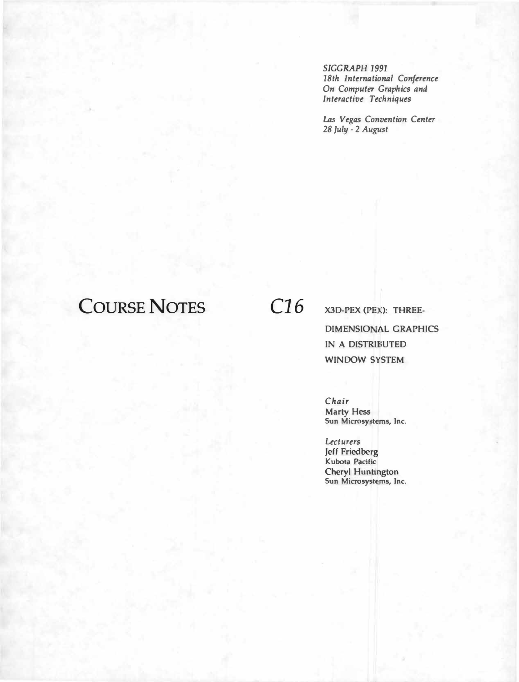*SIGGRAPH 1991 18th International Conference On Computer Graphics and Interactive Techniques* 

*Las Vegas Convention Center 28 July* - *2 August* 

# **COURSE NOTES** *C16*

**X3D-PEX (PEX): THREE-DIMENSIONAL GRAPHICS [NA DISTRJBUTED WINDOW SYSTEM** 

*Chair*  **Marty Hess**  Sun Microsystems, Inc.

*Lecturers*  Jeff **Friedberg Kubota Pacific Cheryl Huntington**  Sun Microsystems, Inc.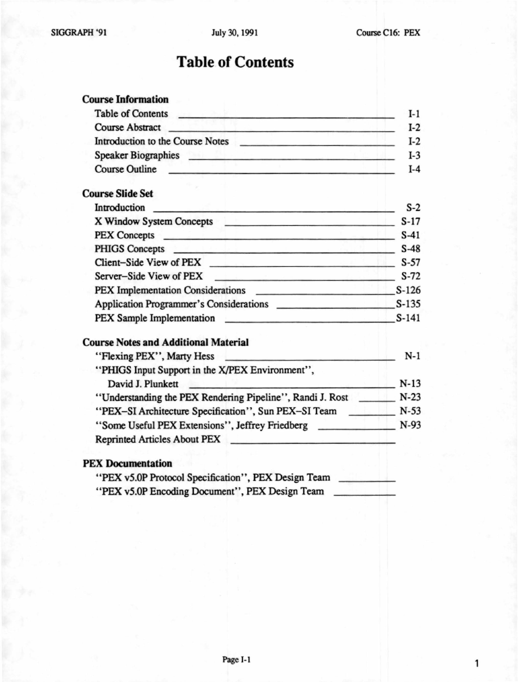## Table of Contents

#### Course Information

| <b>Table of Contents</b>         |  |
|----------------------------------|--|
| Course Abstract                  |  |
| Introduction to the Course Notes |  |
| <b>Speaker Biographies</b>       |  |
| <b>Course Outline</b>            |  |

#### Course Slide Set

| Introduction<br>the control of the additional and the                                  | $S-2$   |
|----------------------------------------------------------------------------------------|---------|
| X Window System Concepts<br>the theory of the company of the company of the company of | $S-17$  |
| PEX Concepts <b>CONCERNATION</b>                                                       | $S-41$  |
| PHIGS Concepts <b>Concession</b>                                                       | $S-48$  |
|                                                                                        | $S-57$  |
| Server-Side View of PEX<br>the following the company of the company of                 | $S-72$  |
| PEX Implementation Considerations <b>EXAMPLE 2018</b>                                  | $S-126$ |
| Application Programmer's Considerations                                                | $S-135$ |
| PEX Sample Implementation                                                              | $S-141$ |

#### Course Notes and Additional Material

| "Flexing PEX", Marty Hess                                 | N-1    |
|-----------------------------------------------------------|--------|
| "PHIGS Input Support in the X/PEX Environment",           |        |
| David J. Plunkett                                         | $N-13$ |
| "Understanding the PEX Rendering Pipeline", Randi J. Rost | $N-23$ |
| "PEX-SI Architecture Specification", Sun PEX-SI Team      | $N-53$ |
| "Some Useful PEX Extensions", Jeffrey Friedberg           | $N-93$ |
| <b>Reprinted Articles About PEX</b>                       |        |

#### PEX Documentation

| "PEX v5.0P Protocol Specification", PEX Design Team |  |
|-----------------------------------------------------|--|
| "PEX v5.0P Encoding Document", PEX Design Team      |  |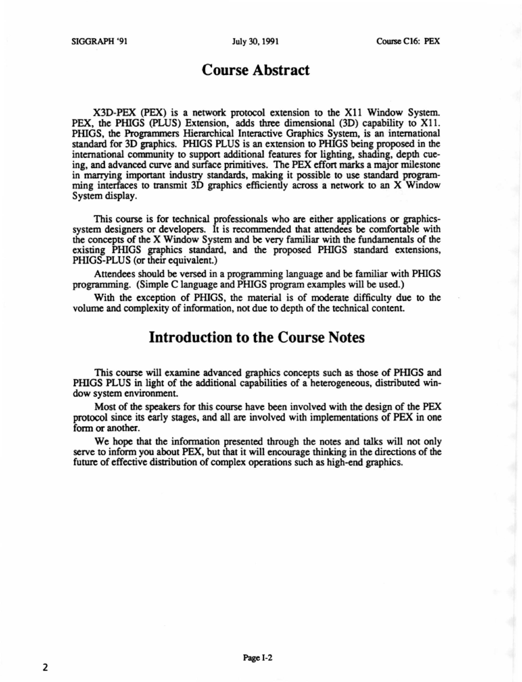## **Course Abstract**

X30-PEX (PEX) is a network protocol extension to the Xll Window System. PEX, the PHIGS (PLUS) Extension, adds three dimensional (3D) capability to X11. PinGS, the Programmers Hierarchical Interactive Graphics System, is an international standard for 30 graphics. PinGS PLUS is an extension to PRIGS being proposed in the international community to support additional features for lighting, shading, depth cueing, and advanced curve and surface primitives. The PEX effon marks a major milestone in marrying important industry standards, making it possible to use standard programming interfaces to transmit 3D graphics efficiently across a network to an X Window System display.

This course is for technical professionals who are either applications or graphicssystem designers or developers. It is recommended that attendees be comfortable with the concepts of the X Window System and be very familiar with the fundamentals of the existing PHIGS graphics standard, and the proposed PHIGS standard extensions, PHIGS-PLUS (or their equivalent.)

Attendees should be versed in a programming language and be familiar with PHIGS programming. (Simple C language and PHIGS program examples will be used.)

With the exception of PRIGS, the material is of moderate difficulty due to the volume and complexity of information, not due to depth of the technical content.

## **Introduction to the Course Notes**

This course will examine advanced graphics concepts such as those of PHIGS and PHIGS PLUS in light of the additional capabilities of a heterogeneous, distributed window system environment.

Most of the speakers for this course have been involved with the design of the PEX protocol since its early stages, and all are involved with implementations of PEX in one form or another.

We hope that the information presented through the notes and talks will not only serve to inform you about PEX, but that it will encourage thinking in the directions of the future of effective distribution of complex operations such as high-end graphics.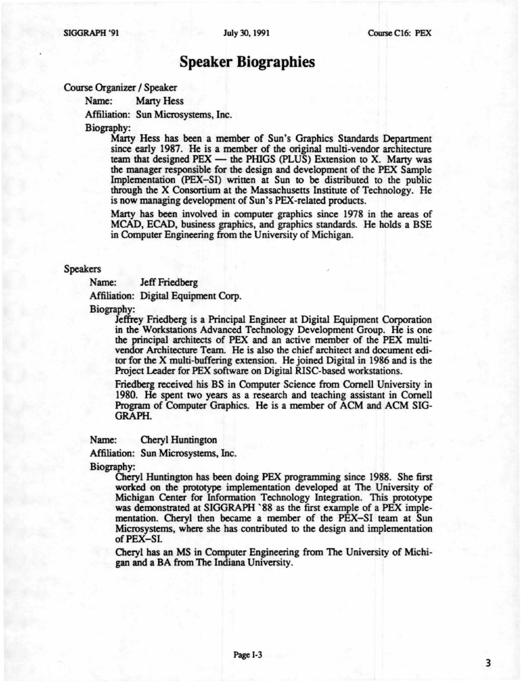### **Speaker Biographies**

Course Organizer / Speaker

Name: Marty Hess

Affiliation: Sun Microsystems, Inc.

Biography:

Marty Hess has been a member of Sun's Graphics Standards Department since early 1987. He is a member of the original multi-vendor architecture team that designed  $PEX$  — the PHIGS (PLUS) Extension to X. Marty was the manager responsible for the design and development of the PEX Sample Implementation (PEX-SD written at Sun to be distributed to the public through the X Consortium at the Massachusetts Institute of Technology. He is now managing development of Sun's PEX-related products.

Marty has been involved in computer graphics since 1978 in the areas of MCAD, ECAD, business graphics, and graphics standards. He holds a BSE in Computer Engineering from the University of Michigan.

#### Speakers

Name: Jeff Friedberg

Affiliation: Digital Equipment Corp.

Biography:

Jeffrey Friedberg is a Principal Engineer at Digital Equipment Corporation in the Workstations Advanced Technology Development Group. He is one the principal architects of PEX and an active member of the PEX multivendor Architecture Team. He is also the chief architect and document editor for the X multi-buffering extension. He joined Digital in 1986 and is the Project Leader for PEX software on Digital RISC-based workstations.

Friedberg received his BS in Computer Science from Cornell University in 1980. He spent two years as a research and teaching assistant in Cornell Program of Computer Graphics. He is a member of ACM and ACM SIG-GRAPH.

Name: Cheryl Huntington

Affiliation: Sun Microsystems, Inc.

Biography:

Cheryl Huntington has been doing PEX programming since 1988. She first worked on the prototype implementation developed at The University of Michigan Center for lnfonnation Technology Integration. This prototype was demonstrated at SIGGRAPH `88 as the first example of a PEX implementation. Cheryl then became a member of the PEX-SI team at Sun Microsystems, where she has contributed to the design and implementation of PEX-SI.

Cheryl has an MS in Computer Engineering from The University of Michigan and a BA from The Indiana University.

3